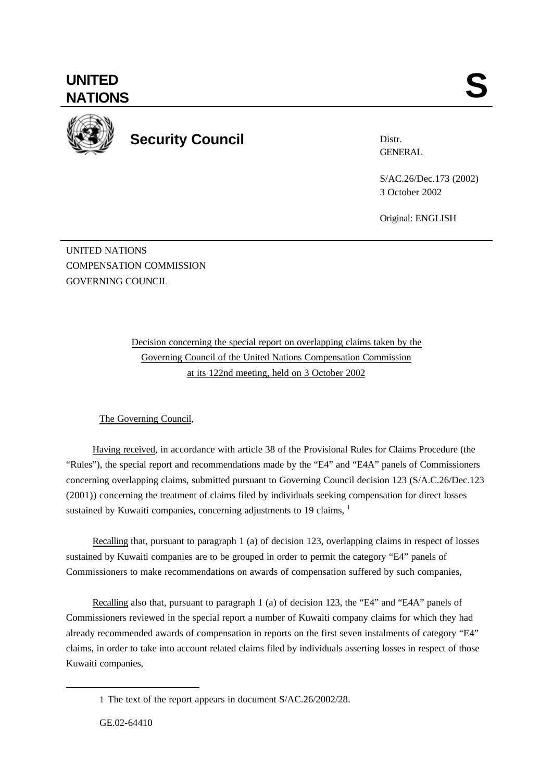

**Security Council**

Distr. **GENERAL** 

S/AC.26/Dec.173 (2002) 3 October 2002

Original: ENGLISH

UNITED NATIONS COMPENSATION COMMISSION GOVERNING COUNCIL

> Decision concerning the special report on overlapping claims taken by the Governing Council of the United Nations Compensation Commission at its 122nd meeting, held on 3 October 2002

# The Governing Council,

Having received, in accordance with article 38 of the Provisional Rules for Claims Procedure (the "Rules"), the special report and recommendations made by the "E4" and "E4A" panels of Commissioners concerning overlapping claims, submitted pursuant to Governing Council decision 123 (S/A.C.26/Dec.123 (2001)) concerning the treatment of claims filed by individuals seeking compensation for direct losses sustained by Kuwaiti companies, concerning adjustments to 19 claims,  $<sup>1</sup>$ </sup>

Recalling that, pursuant to paragraph 1 (a) of decision 123, overlapping claims in respect of losses sustained by Kuwaiti companies are to be grouped in order to permit the category "E4" panels of Commissioners to make recommendations on awards of compensation suffered by such companies,

Recalling also that, pursuant to paragraph 1 (a) of decision 123, the "E4" and "E4A" panels of Commissioners reviewed in the special report a number of Kuwaiti company claims for which they had already recommended awards of compensation in reports on the first seven instalments of category "E4" claims, in order to take into account related claims filed by individuals asserting losses in respect of those Kuwaiti companies,

l

<sup>1</sup> The text of the report appears in document S/AC.26/2002/28.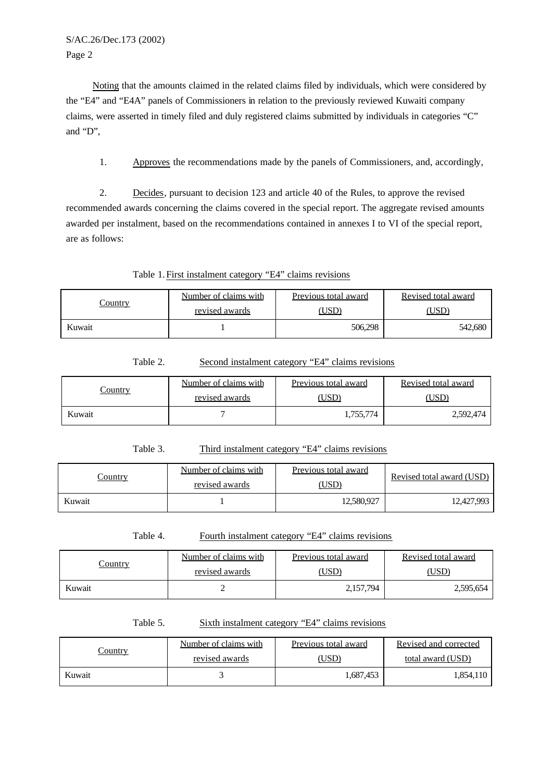S/AC.26/Dec.173 (2002) Page 2

Noting that the amounts claimed in the related claims filed by individuals, which were considered by the "E4" and "E4A" panels of Commissioners in relation to the previously reviewed Kuwaiti company claims, were asserted in timely filed and duly registered claims submitted by individuals in categories "C" and "D",

1. Approves the recommendations made by the panels of Commissioners, and, accordingly,

2. Decides, pursuant to decision 123 and article 40 of the Rules, to approve the revised recommended awards concerning the claims covered in the special report. The aggregate revised amounts awarded per instalment, based on the recommendations contained in annexes I to VI of the special report, are as follows:

Table 1.First instalment category "E4" claims revisions

| <u>Country</u> | Number of claims with | Previous total award | Revised total award |
|----------------|-----------------------|----------------------|---------------------|
|                | revised awards        | USD <sup>)</sup>     | <b>USD</b>          |
| Kuwait         |                       | 506,298              | 542,680             |

| Table 2. | Second instalment category "E4" claims revisions |  |  |
|----------|--------------------------------------------------|--|--|
|          |                                                  |  |  |

| <u>Country</u> | Number of claims with | Previous total award | Revised total award |
|----------------|-----------------------|----------------------|---------------------|
|                | revised awards        | $\overline{USD}$     | USD                 |
| Kuwait         |                       | 1,755,774            | 2,592,474           |

### Table 3. Third instalment category "E4" claims revisions

| <u>Country</u> | Number of claims with<br>revised awards | Previous total award<br>(USD) | Revised total award (USD) |
|----------------|-----------------------------------------|-------------------------------|---------------------------|
| Kuwait         |                                         | 12,580,927                    | 12,427,993                |

Table 4. Fourth instalment category "E4" claims revisions

| <u>Country</u> | Number of claims with | Previous total award | Revised total award |
|----------------|-----------------------|----------------------|---------------------|
|                | revised awards        | USD)                 |                     |
| Kuwait         |                       | 2,157,794            | 2,595,654           |

Table 5. Sixth instalment category "E4" claims revisions

| <u>Country</u> | Number of claims with | Previous total award | Revised and corrected |
|----------------|-----------------------|----------------------|-----------------------|
|                | revised awards        | (USD)                | total award (USD)     |
| Kuwait         |                       | 1,687,453            | 1,854,110             |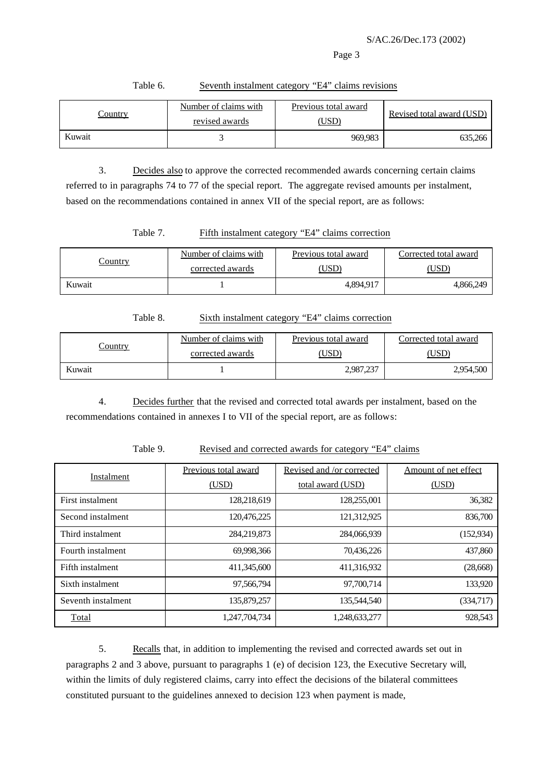#### Page 3

| $\sqrt{\frac{1}{1}}$ | Number of claims with | Previous total award | Revised total award (USD) |
|----------------------|-----------------------|----------------------|---------------------------|
|                      | revised awards        | (USD)                |                           |
| Kuwait               |                       | 969.983              | 635.266                   |

#### Table 6. Seventh instalment category "E4" claims revisions

3. Decides also to approve the corrected recommended awards concerning certain claims referred to in paragraphs 74 to 77 of the special report. The aggregate revised amounts per instalment, based on the recommendations contained in annex VII of the special report, are as follows:

## Table 7. Fifth instalment category "E4" claims correction

| .<br>Country | Number of claims with | Previous total award | Corrected total award |
|--------------|-----------------------|----------------------|-----------------------|
|              | corrected awards      | <b>USD</b>           |                       |
| Kuwait       |                       | 4,894,917            | 4,866,249             |

#### Table 8. Sixth instalment category "E4" claims correction

| <u>Country</u> | Number of claims with | Previous total award | Corrected total award |
|----------------|-----------------------|----------------------|-----------------------|
|                | corrected awards      | USD)                 | USD <sup>®</sup>      |
| Kuwait         |                       | 2,987,237            | 2,954,500             |

4. Decides further that the revised and corrected total awards per instalment, based on the recommendations contained in annexes I to VII of the special report, are as follows:

## Table 9. Revised and corrected awards for category "E4" claims

| Instalment         | Previous total award | Revised and /or corrected | Amount of net effect |
|--------------------|----------------------|---------------------------|----------------------|
|                    | (USD)                | total award (USD)         | (USD)                |
| First instalment   | 128,218,619          | 128,255,001               | 36,382               |
| Second instalment  | 120,476,225          | 121,312,925               | 836,700              |
| Third instalment   | 284,219,873          | 284,066,939               | (152, 934)           |
| Fourth instalment  | 69,998,366           | 70,436,226                | 437,860              |
| Fifth instalment   | 411,345,600          | 411,316,932               | (28, 668)            |
| Sixth instalment   | 97,566,794           | 97,700,714                | 133,920              |
| Seventh instalment | 135,879,257          | 135,544,540               | (334,717)            |
| Total              | 1,247,704,734        | 1,248,633,277             | 928,543              |

5. Recalls that, in addition to implementing the revised and corrected awards set out in paragraphs 2 and 3 above, pursuant to paragraphs 1 (e) of decision 123, the Executive Secretary will, within the limits of duly registered claims, carry into effect the decisions of the bilateral committees constituted pursuant to the guidelines annexed to decision 123 when payment is made,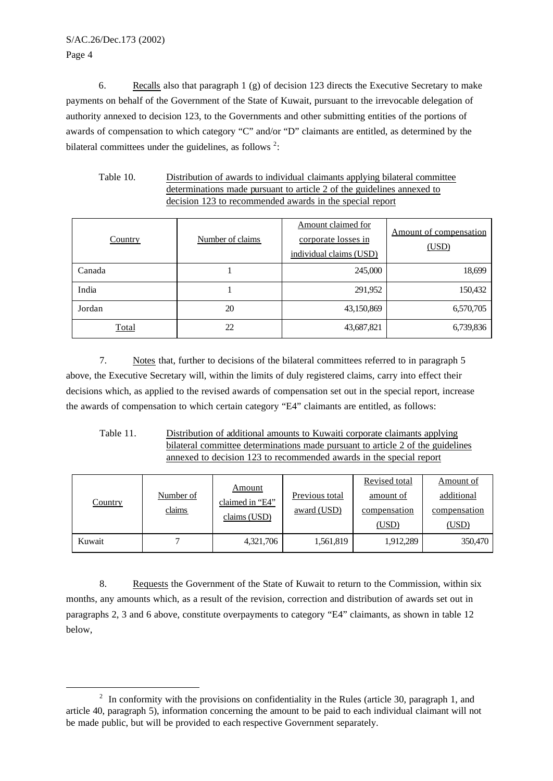l

6. Recalls also that paragraph 1 (g) of decision 123 directs the Executive Secretary to make payments on behalf of the Government of the State of Kuwait, pursuant to the irrevocable delegation of authority annexed to decision 123, to the Governments and other submitting entities of the portions of awards of compensation to which category "C" and/or "D" claimants are entitled, as determined by the bilateral committees under the guidelines, as follows  $2$ :

| Table 10.                                                              | Distribution of awards to individual claimants applying bilateral committee |  |  |  |
|------------------------------------------------------------------------|-----------------------------------------------------------------------------|--|--|--|
| determinations made pursuant to article 2 of the guidelines annexed to |                                                                             |  |  |  |
|                                                                        | decision 123 to recommended awards in the special report                    |  |  |  |

| <b>Country</b> | Number of claims | Amount claimed for<br>corporate losses in<br>individual claims (USD) | Amount of compensation<br>(USD) |
|----------------|------------------|----------------------------------------------------------------------|---------------------------------|
| Canada         |                  | 245,000                                                              | 18,699                          |
| India          |                  | 291,952                                                              | 150,432                         |
| Jordan         | 20               | 43,150,869                                                           | 6,570,705                       |
| <b>Total</b>   | 22               | 43,687,821                                                           | 6,739,836                       |

7. Notes that, further to decisions of the bilateral committees referred to in paragraph 5 above, the Executive Secretary will, within the limits of duly registered claims, carry into effect their decisions which, as applied to the revised awards of compensation set out in the special report, increase the awards of compensation to which certain category "E4" claimants are entitled, as follows:

Table 11. Distribution of additional amounts to Kuwaiti corporate claimants applying bilateral committee determinations made pursuant to article 2 of the guidelines annexed to decision 123 to recommended awards in the special report

| <b>Country</b> | Number of<br>claims | <u>Amount</u><br>claimed in "E4"<br>claims (USD) | Previous total<br>award (USD) | Revised total<br>amount of<br>compensation<br>(USD) | Amount of<br>additional<br>compensation<br>(USD) |
|----------------|---------------------|--------------------------------------------------|-------------------------------|-----------------------------------------------------|--------------------------------------------------|
| Kuwait         |                     | 4,321,706                                        | 1,561,819                     | 1,912,289                                           | 350,470                                          |

8. Requests the Government of the State of Kuwait to return to the Commission, within six months, any amounts which, as a result of the revision, correction and distribution of awards set out in paragraphs 2, 3 and 6 above, constitute overpayments to category "E4" claimants, as shown in table 12 below,

 $2\;\;$  In conformity with the provisions on confidentiality in the Rules (article 30, paragraph 1, and article 40, paragraph 5), information concerning the amount to be paid to each individual claimant will not be made public, but will be provided to each respective Government separately.